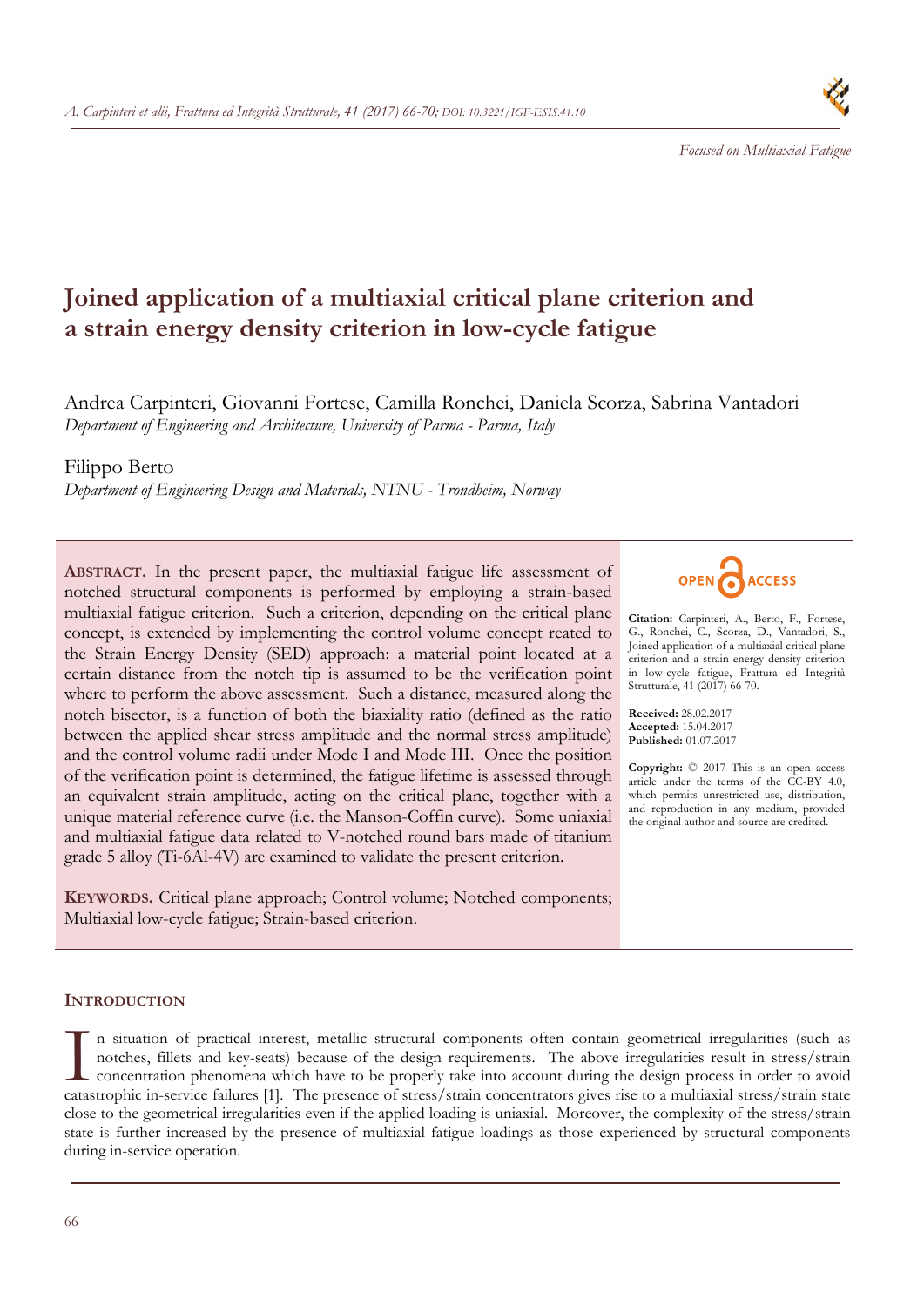66

*A. Carpinteri et alii, Frattura ed Integrità Strutturale, 41 (2017) 66-70; DOI: 10.3221/IGF-ESIS.41.10* 

# **Joined application of a multiaxial critical plane criterion and a strain energy density criterion in low-cycle fatigue**

Andrea Carpinteri, Giovanni Fortese, Camilla Ronchei, Daniela Scorza, Sabrina Vantadori *Department of Engineering and Architecture, University of Parma - Parma, Italy* 

## Filippo Berto

*Department of Engineering Design and Materials, NTNU - Trondheim, Norway* 

**ABSTRACT.** In the present paper, the multiaxial fatigue life assessment of notched structural components is performed by employing a strain-based multiaxial fatigue criterion. Such a criterion, depending on the critical plane concept, is extended by implementing the control volume concept reated to the Strain Energy Density (SED) approach: a material point located at a certain distance from the notch tip is assumed to be the verification point where to perform the above assessment. Such a distance, measured along the notch bisector, is a function of both the biaxiality ratio (defined as the ratio between the applied shear stress amplitude and the normal stress amplitude) and the control volume radii under Mode I and Mode III. Once the position of the verification point is determined, the fatigue lifetime is assessed through an equivalent strain amplitude, acting on the critical plane, together with a unique material reference curve (i.e. the Manson-Coffin curve). Some uniaxial and multiaxial fatigue data related to V-notched round bars made of titanium grade 5 alloy (Ti-6Al-4V) are examined to validate the present criterion.

**KEYWORDS.** Critical plane approach; Control volume; Notched components; Multiaxial low-cycle fatigue; Strain-based criterion.

### **INTRODUCTION**

n situation of practical interest, metallic structural components often contain geometrical irregularities (such as notches, fillets and key-seats) because of the design requirements. The above irregularities result in stress/strain concentration phenomena which have to be properly take into account during the design process in order to avoid In situation of practical interest, metallic structural components often contain geometrical irregularities (such as notches, fillets and key-seats) because of the design requirements. The above irregularities result in st close to the geometrical irregularities even if the applied loading is uniaxial. Moreover, the complexity of the stress/strain state is further increased by the presence of multiaxial fatigue loadings as those experienced by structural components during in-service operation.



**Citation:** Carpinteri, A., Berto, F., Fortese, G., Ronchei, C., Scorza, D., Vantadori, S., Joined application of a multiaxial critical plane criterion and a strain energy density criterion in low-cycle fatigue, Frattura ed Integrità Strutturale, 41 (2017) 66-70.

**Received:** 28.02.2017 **Accepted:** 15.04.2017 **Published:** 01.07.2017

**Copyright:** © 2017 This is an open access article under the terms of the CC-BY 4.0, which permits unrestricted use, distribution, and reproduction in any medium, provided the original author and source are credited.

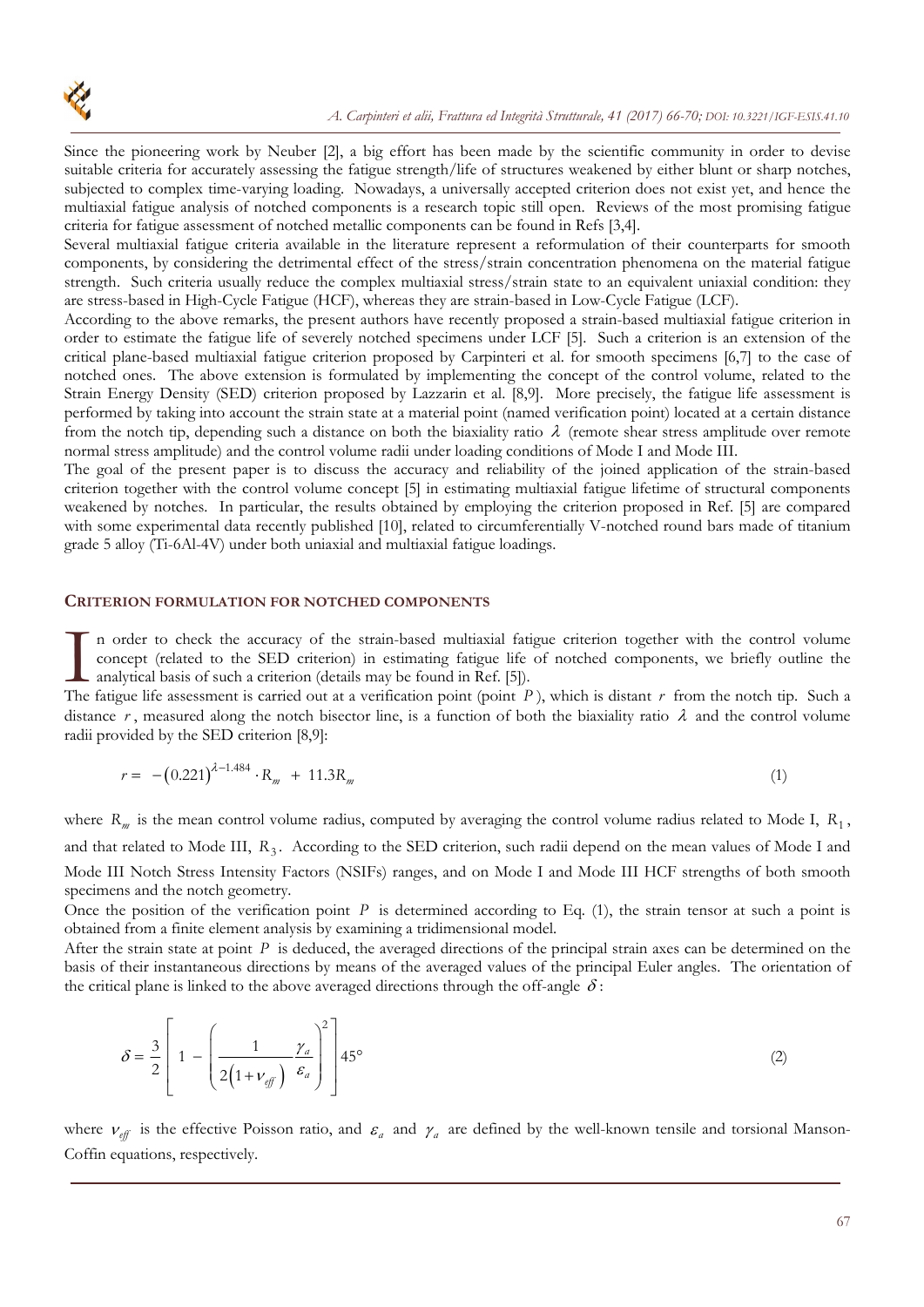Since the pioneering work by Neuber [2], a big effort has been made by the scientific community in order to devise suitable criteria for accurately assessing the fatigue strength/life of structures weakened by either blunt or sharp notches, subjected to complex time-varying loading. Nowadays, a universally accepted criterion does not exist yet, and hence the multiaxial fatigue analysis of notched components is a research topic still open. Reviews of the most promising fatigue criteria for fatigue assessment of notched metallic components can be found in Refs [3,4].

Several multiaxial fatigue criteria available in the literature represent a reformulation of their counterparts for smooth components, by considering the detrimental effect of the stress/strain concentration phenomena on the material fatigue strength. Such criteria usually reduce the complex multiaxial stress/strain state to an equivalent uniaxial condition: they are stress-based in High-Cycle Fatigue (HCF), whereas they are strain-based in Low-Cycle Fatigue (LCF).

According to the above remarks, the present authors have recently proposed a strain-based multiaxial fatigue criterion in order to estimate the fatigue life of severely notched specimens under LCF [5]. Such a criterion is an extension of the critical plane-based multiaxial fatigue criterion proposed by Carpinteri et al. for smooth specimens [6,7] to the case of notched ones. The above extension is formulated by implementing the concept of the control volume, related to the Strain Energy Density (SED) criterion proposed by Lazzarin et al. [8,9]. More precisely, the fatigue life assessment is performed by taking into account the strain state at a material point (named verification point) located at a certain distance from the notch tip, depending such a distance on both the biaxiality ratio  $\lambda$  (remote shear stress amplitude over remote normal stress amplitude) and the control volume radii under loading conditions of Mode I and Mode III.

The goal of the present paper is to discuss the accuracy and reliability of the joined application of the strain-based criterion together with the control volume concept [5] in estimating multiaxial fatigue lifetime of structural components weakened by notches. In particular, the results obtained by employing the criterion proposed in Ref. [5] are compared with some experimental data recently published [10], related to circumferentially V-notched round bars made of titanium grade 5 alloy (Ti-6Al-4V) under both uniaxial and multiaxial fatigue loadings.

#### **CRITERION FORMULATION FOR NOTCHED COMPONENTS**

n order to check the accuracy of the strain-based multiaxial fatigue criterion together with the control volume concept (related to the SED criterion) in estimating fatigue life of notched components, we briefly outline the analytical basis of such a criterion (details may be found in Ref. [5]). In order to check the accuracy of the strain-based multiaxial fatigue criterion together with the control volume concept (related to the SED criterion) in estimating fatigue life of notched components, we briefly outline

distance  $r$ , measured along the notch bisector line, is a function of both the biaxiality ratio  $\lambda$  and the control volume radii provided by the SED criterion [8,9]:

$$
r = -(0.221)^{\lambda - 1.484} \cdot R_m + 11.3R_m \tag{1}
$$

where  $R_m$  is the mean control volume radius, computed by averaging the control volume radius related to Mode I,  $R_1$ , and that related to Mode III,  $R_3$ . According to the SED criterion, such radii depend on the mean values of Mode I and Mode III Notch Stress Intensity Factors (NSIFs) ranges, and on Mode I and Mode III HCF strengths of both smooth specimens and the notch geometry.

Once the position of the verification point  $P$  is determined according to Eq. (1), the strain tensor at such a point is obtained from a finite element analysis by examining a tridimensional model.

After the strain state at point *P* is deduced, the averaged directions of the principal strain axes can be determined on the basis of their instantaneous directions by means of the averaged values of the principal Euler angles. The orientation of the critical plane is linked to the above averaged directions through the off-angle  $\delta$ :

$$
\delta = \frac{3}{2} \left[ 1 - \left( \frac{1}{2 \left( 1 + v_{\text{eff}} \right)} \frac{\gamma_a}{\varepsilon_a} \right)^2 \right] 45^\circ \tag{2}
$$

where  $v_{\text{eff}}$  is the effective Poisson ratio, and  $\varepsilon_a$  and  $\gamma_a$  are defined by the well-known tensile and torsional Manson-Coffin equations, respectively.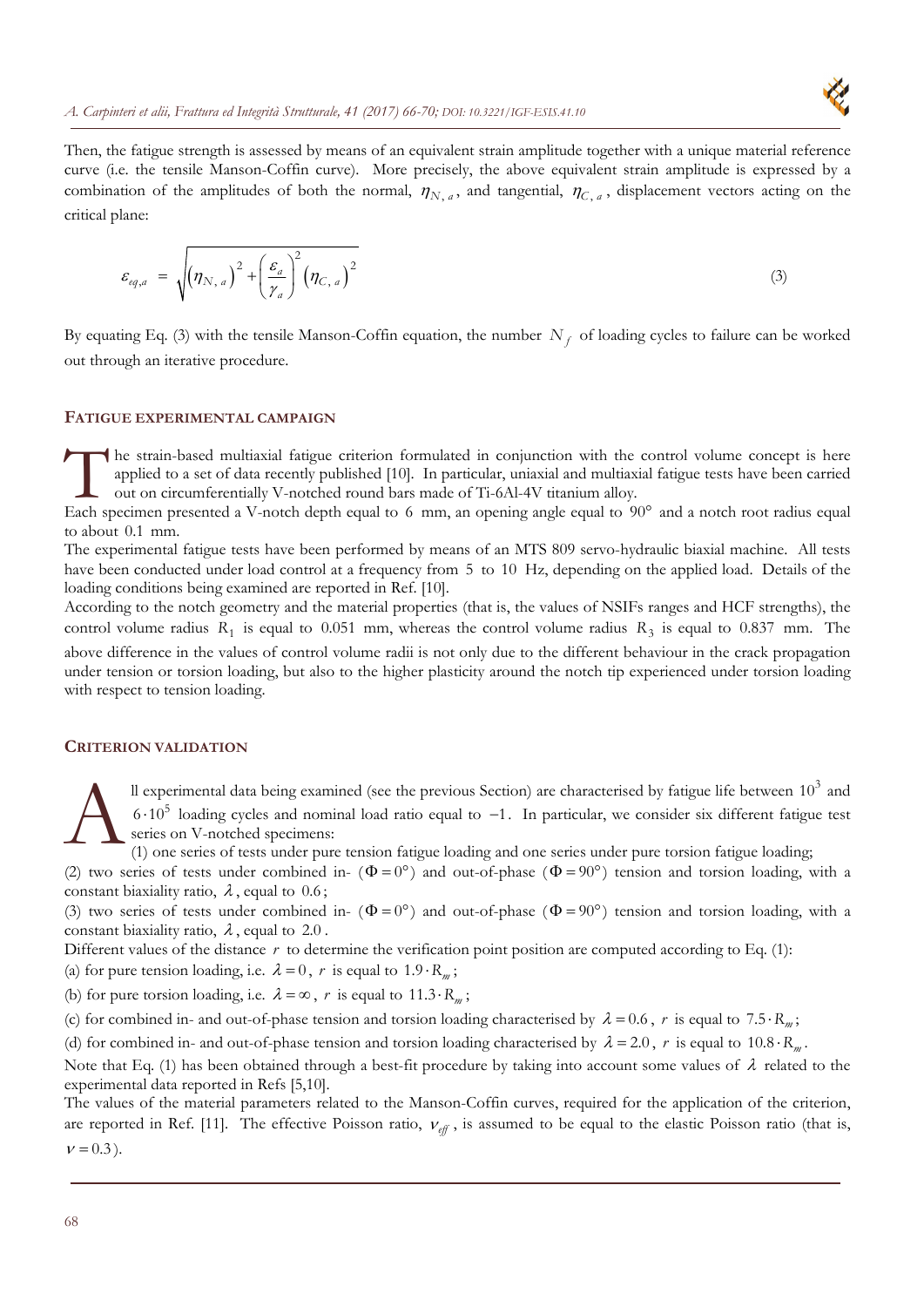

Then, the fatigue strength is assessed by means of an equivalent strain amplitude together with a unique material reference curve (i.e. the tensile Manson-Coffin curve). More precisely, the above equivalent strain amplitude is expressed by a combination of the amplitudes of both the normal,  $\eta_{N, a}$ , and tangential,  $\eta_{C, a}$ , displacement vectors acting on the critical plane:

$$
\varepsilon_{eq,a} = \sqrt{\left(\eta_{N,a}\right)^2 + \left(\frac{\varepsilon_a}{\gamma_a}\right)^2 \left(\eta_{C,a}\right)^2}
$$
\n(3)

By equating Eq. (3) with the tensile Manson-Coffin equation, the number  $N_f$  of loading cycles to failure can be worked out through an iterative procedure.

#### **FATIGUE EXPERIMENTAL CAMPAIGN**

he strain-based multiaxial fatigue criterion formulated in conjunction with the control volume concept is here applied to a set of data recently published [10]. In particular, uniaxial and multiaxial fatigue tests have been carried out on circumferentially V-notched round bars made of Ti-6Al-4V titanium alloy. The strain-based multiaxial fatigue criterion formulated in conjunction with the control volume concept is here applied to a set of data recently published [10]. In particular, uniaxial and multiaxial fatigue tests have be

to about 0.1 mm.

The experimental fatigue tests have been performed by means of an MTS 809 servo-hydraulic biaxial machine. All tests have been conducted under load control at a frequency from 5 to 10 Hz, depending on the applied load. Details of the loading conditions being examined are reported in Ref. [10].

According to the notch geometry and the material properties (that is, the values of NSIFs ranges and HCF strengths), the control volume radius  $R_1$  is equal to 0.051 mm, whereas the control volume radius  $R_3$  is equal to 0.837 mm. The

above difference in the values of control volume radii is not only due to the different behaviour in the crack propagation under tension or torsion loading, but also to the higher plasticity around the notch tip experienced under torsion loading with respect to tension loading.

#### **CRITERION VALIDATION**

ll experimental data being examined (see the previous Section) are characterised by fatigue life between  $10<sup>3</sup>$  and  $6 \cdot 10^5$  loading cycles and nominal load ratio equal to  $-1$ . In particular, we consider six different fatigue test series on V-notched specimens: A

(1) one series of tests under pure tension fatigue loading and one series under pure torsion fatigue loading;

(2) two series of tests under combined in-  $(\Phi = 0^{\circ})$  and out-of-phase  $(\Phi = 90^{\circ})$  tension and torsion loading, with a constant biaxiality ratio,  $\lambda$ , equal to 0.6;

(3) two series of tests under combined in-  $(\Phi = 0^{\circ})$  and out-of-phase  $(\Phi = 90^{\circ})$  tension and torsion loading, with a constant biaxiality ratio,  $\lambda$ , equal to 2.0.

Different values of the distance r to determine the verification point position are computed according to Eq. (1):

(a) for pure tension loading, i.e.  $\lambda = 0$ , r is equal to 1.9  $\cdot$  R<sub>m</sub>;

(b) for pure torsion loading, i.e.  $\lambda = \infty$ , r is equal to 11.3 · R<sub>m</sub>;

(c) for combined in- and out-of-phase tension and torsion loading characterised by  $\lambda = 0.6$ , *r* is equal to 7.5 *· R<sub>m</sub>*;

(d) for combined in- and out-of-phase tension and torsion loading characterised by  $\lambda = 2.0$ , *r* is equal to 10.8  $\cdot$  R<sub>m</sub>.

Note that Eq. (1) has been obtained through a best-fit procedure by taking into account some values of  $\lambda$  related to the experimental data reported in Refs [5,10].

The values of the material parameters related to the Manson-Coffin curves, required for the application of the criterion, are reported in Ref. [11]. The effective Poisson ratio,  $v_{\text{eff}}$ , is assumed to be equal to the elastic Poisson ratio (that is,  $v = 0.3$ ).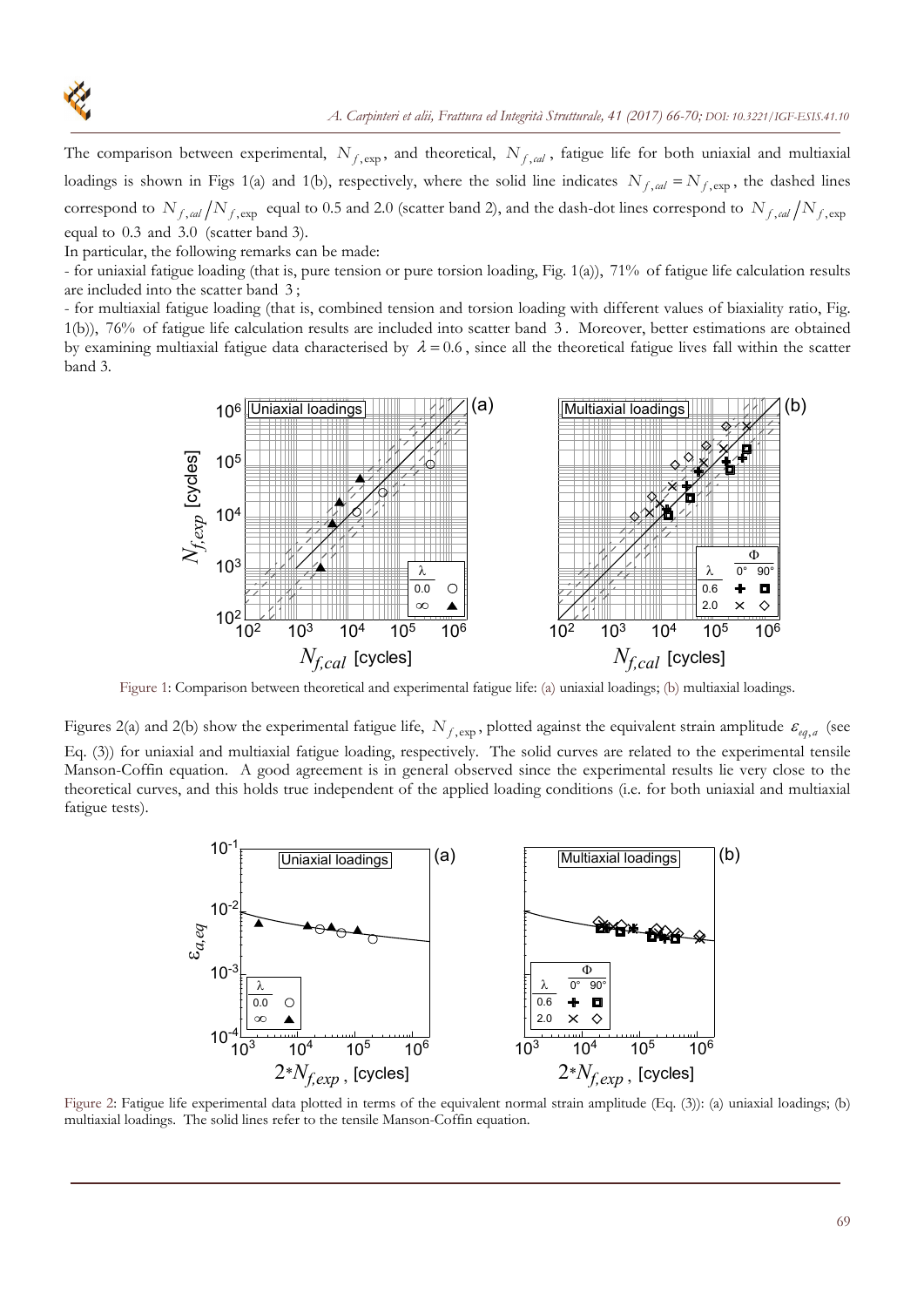

The comparison between experimental,  $N_{f, \text{exp}}$ , and theoretical,  $N_{f, \text{cal}}$ , fatigue life for both uniaxial and multiaxial loadings is shown in Figs 1(a) and 1(b), respectively, where the solid line indicates  $N_{f,cal} = N_{f,exp}$ , the dashed lines correspond to  $N_{f,cal}/N_{f,exp}$  equal to 0.5 and 2.0 (scatter band 2), and the dash-dot lines correspond to  $N_{f,cal}/N_{f,exp}$ equal to 0.3 and 3.0 (scatter band 3).

In particular, the following remarks can be made:

- for uniaxial fatigue loading (that is, pure tension or pure torsion loading, Fig. 1(a)), 71% of fatigue life calculation results are included into the scatter band 3 ;

- for multiaxial fatigue loading (that is, combined tension and torsion loading with different values of biaxiality ratio, Fig. 1(b)), 76% of fatigue life calculation results are included into scatter band 3 . Moreover, better estimations are obtained by examining multiaxial fatigue data characterised by  $\lambda = 0.6$ , since all the theoretical fatigue lives fall within the scatter band 3.



Figure 1: Comparison between theoretical and experimental fatigue life: (a) uniaxial loadings; (b) multiaxial loadings.

Figures 2(a) and 2(b) show the experimental fatigue life,  $N_{f, \text{exp}}$ , plotted against the equivalent strain amplitude  $\varepsilon_{eq, a}$  (see Eq. (3)) for uniaxial and multiaxial fatigue loading, respectively. The solid curves are related to the experimental tensile Manson-Coffin equation. A good agreement is in general observed since the experimental results lie very close to the theoretical curves, and this holds true independent of the applied loading conditions (i.e. for both uniaxial and multiaxial fatigue tests).



 Figure 2: Fatigue life experimental data plotted in terms of the equivalent normal strain amplitude (Eq. (3)): (a) uniaxial loadings; (b) multiaxial loadings. The solid lines refer to the tensile Manson-Coffin equation.